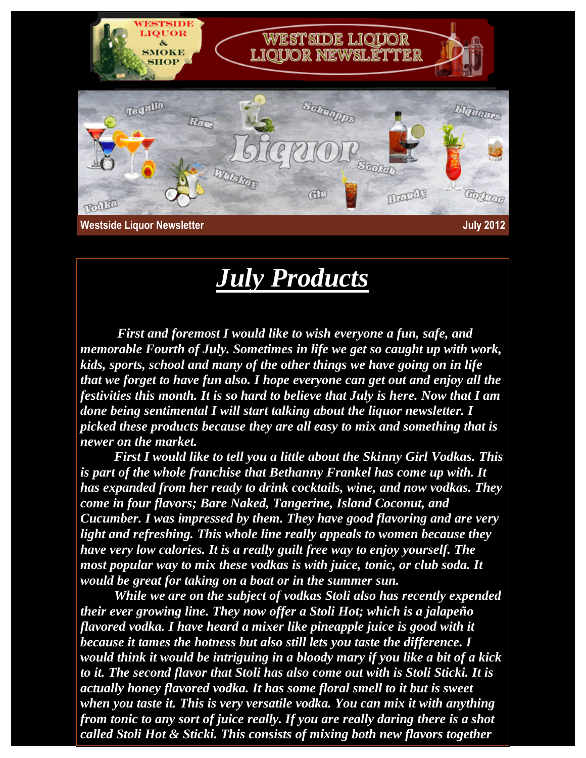

## *July Products*

*First and foremost I would like to wish everyone a fun, safe, and memorable Fourth of July. Sometimes in life we get so caught up with work, kids, sports, school and many of the other things we have going on in life that we forget to have fun also. I hope everyone can get out and enjoy all the festivities this month. It is so hard to believe that July is here. Now that I am done being sentimental I will start talking about the liquor newsletter. I picked these products because they are all easy to mix and something that is newer on the market.* 

 *First I would like to tell you a little about the Skinny Girl Vodkas. This is part of the whole franchise that Bethanny Frankel has come up with. It has expanded from her ready to drink cocktails, wine, and now vodkas. They come in four flavors; Bare Naked, Tangerine, Island Coconut, and Cucumber. I was impressed by them. They have good flavoring and are very light and refreshing. This whole line really appeals to women because they have very low calories. It is a really guilt free way to enjoy yourself. The most popular way to mix these vodkas is with juice, tonic, or club soda. It would be great for taking on a boat or in the summer sun.*

 *While we are on the subject of vodkas Stoli also has recently expended their ever growing line. They now offer a Stoli Hot; which is a jalapeño flavored vodka. I have heard a mixer like pineapple juice is good with it because it tames the hotness but also still lets you taste the difference. I would think it would be intriguing in a bloody mary if you like a bit of a kick to it. The second flavor that Stoli has also come out with is Stoli Sticki. It is actually honey flavored vodka. It has some floral smell to it but is sweet when you taste it. This is very versatile vodka. You can mix it with anything from tonic to any sort of juice really. If you are really daring there is a shot called Stoli Hot & Sticki. This consists of mixing both new flavors together*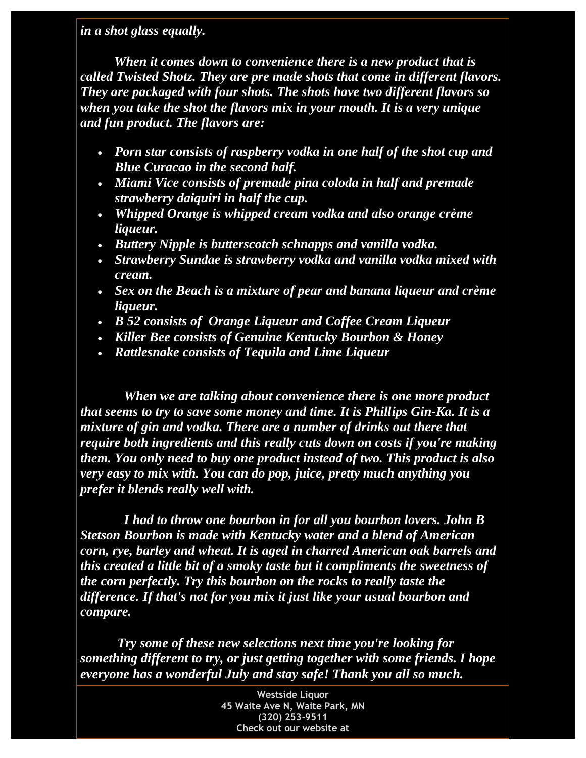*in a shot glass equally.* 

*When it comes down to convenience there is a new product that is called Twisted Shotz. They are pre made shots that come in different flavors. They are packaged with four shots. The shots have two different flavors so when you take the shot the flavors mix in your mouth. It is a very unique and fun product. The flavors are:* 

- *Porn star consists of raspberry vodka in one half of the shot cup and Blue Curacao in the second half.*
- *Miami Vice consists of premade pina coloda in half and premade strawberry daiquiri in half the cup.*
- *Whipped Orange is whipped cream vodka and also orange crème liqueur.*
- *Buttery Nipple is butterscotch schnapps and vanilla vodka.*
- *Strawberry Sundae is strawberry vodka and vanilla vodka mixed with cream.*
- *Sex on the Beach is a mixture of pear and banana liqueur and crème liqueur.*
- *B 52 consists of Orange Liqueur and Coffee Cream Liqueur*
- *Killer Bee consists of Genuine Kentucky Bourbon & Honey*
- *Rattlesnake consists of Tequila and Lime Liqueur*

*When we are talking about convenience there is one more product that seems to try to save some money and time. It is Phillips Gin-Ka. It is a mixture of gin and vodka. There are a number of drinks out there that require both ingredients and this really cuts down on costs if you're making them. You only need to buy one product instead of two. This product is also very easy to mix with. You can do pop, juice, pretty much anything you prefer it blends really well with.*

*I had to throw one bourbon in for all you bourbon lovers. John B Stetson Bourbon is made with Kentucky water and a blend of American corn, rye, barley and wheat. It is aged in charred American oak barrels and this created a little bit of a smoky taste but it compliments the sweetness of the corn perfectly. Try this bourbon on the rocks to really taste the difference. If that's not for you mix it just like your usual bourbon and compare.*

*Try some of these new selections next time you're looking for something different to try, or just getting together with some friends. I hope everyone has a wonderful July and stay safe! Thank you all so much.*

> **Westside Liquor 45 Waite Ave N, Waite Park, MN (320) 253-9511 Check out our website at**